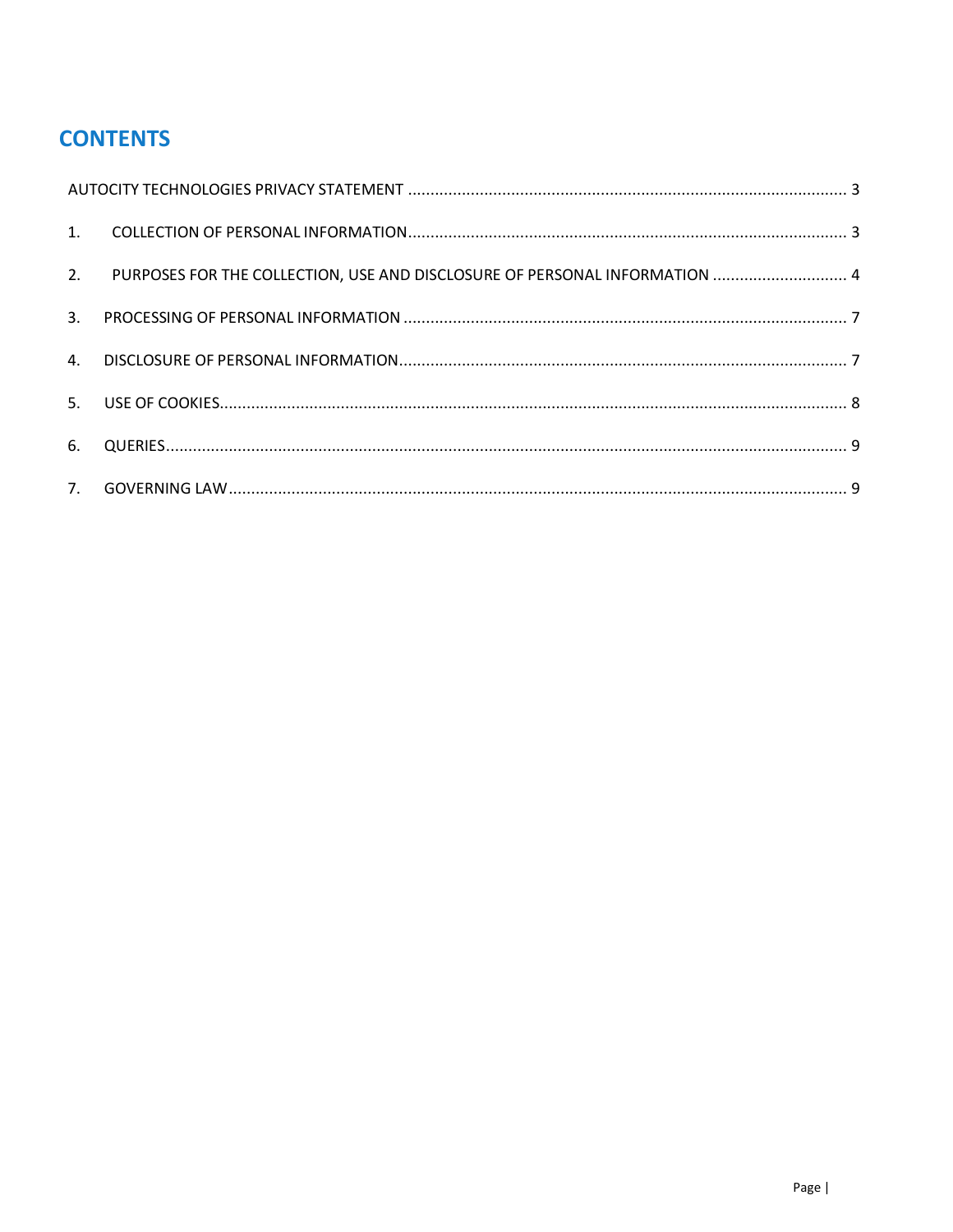# **CONTENTS**

|    | 2. PURPOSES FOR THE COLLECTION, USE AND DISCLOSURE OF PERSONAL INFORMATION  4 |  |
|----|-------------------------------------------------------------------------------|--|
|    |                                                                               |  |
|    |                                                                               |  |
|    |                                                                               |  |
| 6. |                                                                               |  |
|    |                                                                               |  |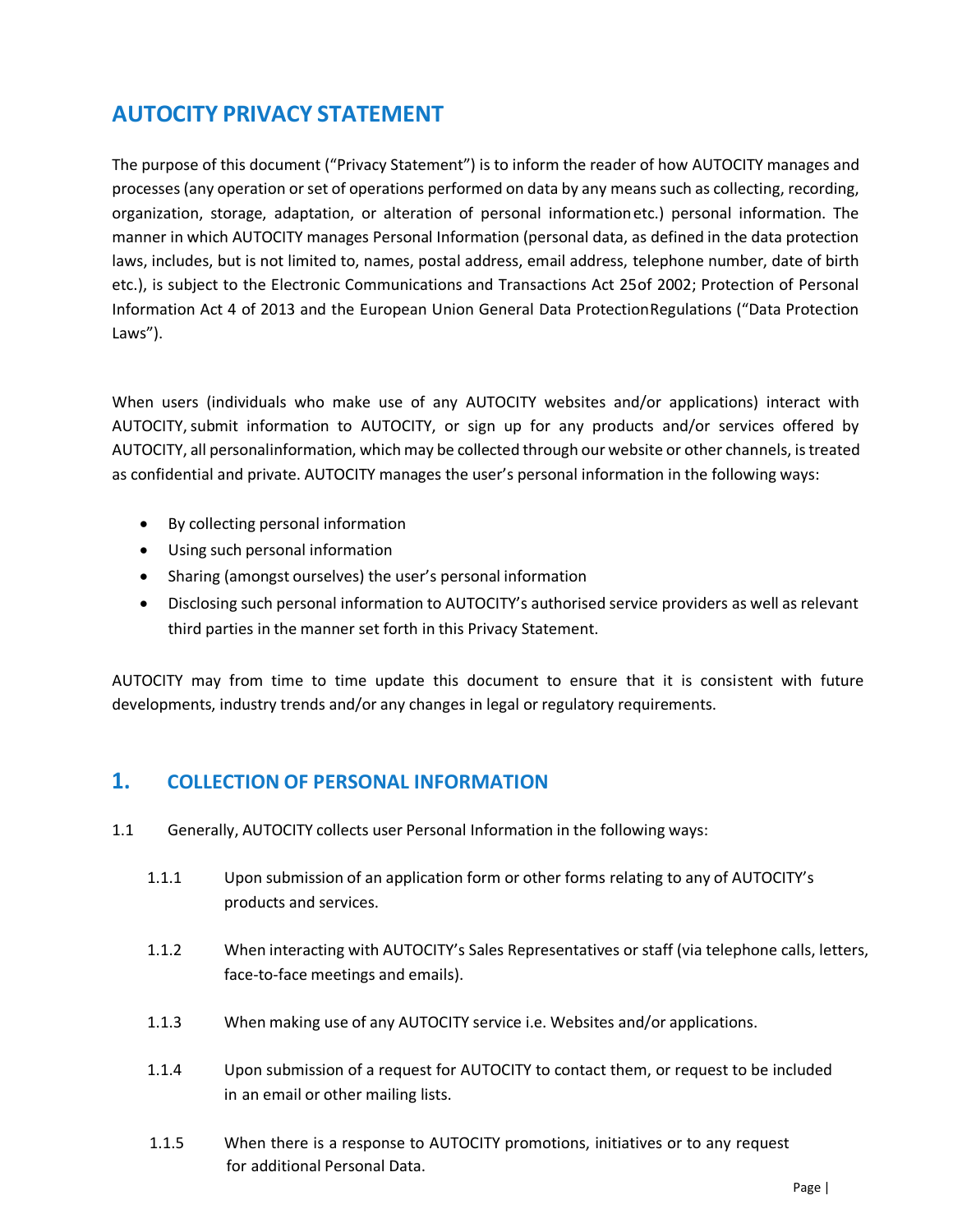# <span id="page-1-0"></span>**AUTOCITY PRIVACY STATEMENT**

The purpose of this document ("Privacy Statement") is to inform the reader of how AUTOCITY manages and processes (any operation or set of operations performed on data by any means such as collecting, recording, organization, storage, adaptation, or alteration of personal informationetc.) personal information. The manner in which AUTOCITY manages Personal Information (personal data, as defined in the data protection laws, includes, but is not limited to, names, postal address, email address, telephone number, date of birth etc.), is subject to the Electronic Communications and Transactions Act 25of 2002; Protection of Personal Information Act 4 of 2013 and the European Union General Data Protection Regulations ("Data Protection Laws").

When users (individuals who make use of any AUTOCITY websites and/or applications) interact with AUTOCITY, submit information to AUTOCITY, or sign up for any products and/or services offered by AUTOCITY, all personalinformation, which may be collected through our website or other channels, is treated as confidential and private. AUTOCITY manages the user's personal information in the following ways:

- By collecting personal information
- Using such personal information
- Sharing (amongst ourselves) the user's personal information
- Disclosing such personal information to AUTOCITY's authorised service providers as well as relevant third parties in the manner set forth in this Privacy Statement.

AUTOCITY may from time to time update this document to ensure that it is consistent with future developments, industry trends and/or any changes in legal or regulatory requirements.

#### <span id="page-1-1"></span>**1. COLLECTION OF PERSONAL INFORMATION**

- 1.1 Generally, AUTOCITY collects user Personal Information in the following ways:
	- 1.1.1 Upon submission of an application form or other forms relating to any of AUTOCITY's products and services.
	- 1.1.2 When interacting with AUTOCITY's Sales Representatives or staff (via telephone calls, letters, face-to-face meetings and emails).
	- 1.1.3 When making use of any AUTOCITY service i.e. Websites and/or applications.
	- 1.1.4 Upon submission of a request for AUTOCITY to contact them, or request to be included in an email or other mailing lists.
	- 1.1.5 When there is a response to AUTOCITY promotions, initiatives or to any request for additional Personal Data.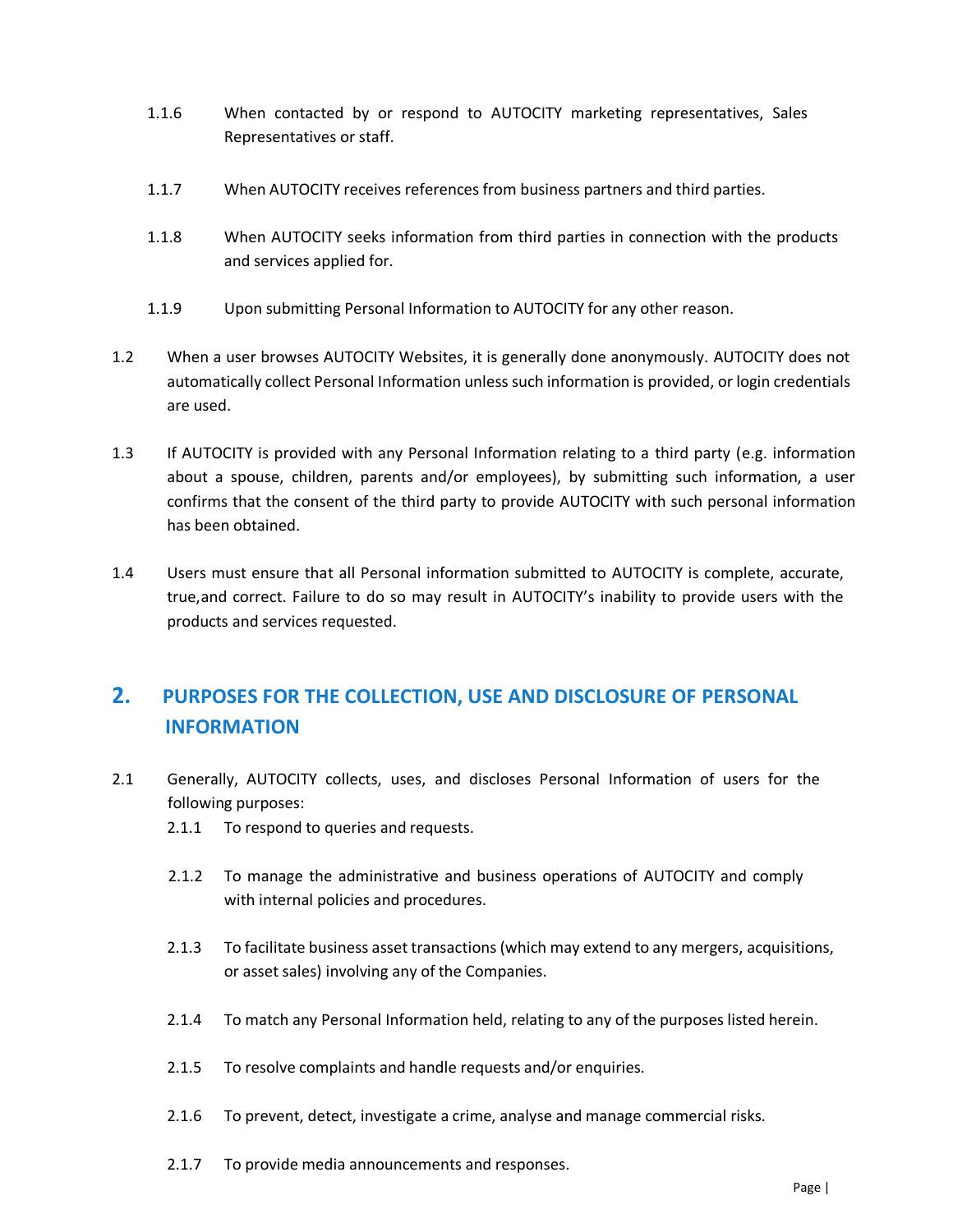- 1.1.6 When contacted by or respond to AUTOCITY marketing representatives, Sales Representatives or staff.
- 1.1.7 When AUTOCITY receives references from business partners and third parties.
- 1.1.8 When AUTOCITY seeks information from third parties in connection with the products and services applied for.
- 1.1.9 Upon submitting Personal Information to AUTOCITY for any other reason.
- 1.2 When a user browses AUTOCITY Websites, it is generally done anonymously. AUTOCITY does not automatically collect Personal Information unless such information is provided, or login credentials are used.
- 1.3 If AUTOCITY is provided with any Personal Information relating to a third party (e.g. information about a spouse, children, parents and/or employees), by submitting such information, a user confirms that the consent of the third party to provide AUTOCITY with such personal information has been obtained.
- 1.4 Users must ensure that all Personal information submitted to AUTOCITY is complete, accurate, true,and correct. Failure to do so may result in AUTOCITY's inability to provide users with the products and services requested.

## <span id="page-2-0"></span>**2. PURPOSES FOR THE COLLECTION, USE AND DISCLOSURE OF PERSONAL INFORMATION**

- 2.1 Generally, AUTOCITY collects, uses, and discloses Personal Information of users for the following purposes:
	- 2.1.1 To respond to queries and requests.
	- 2.1.2 To manage the administrative and business operations of AUTOCITY and comply with internal policies and procedures.
	- 2.1.3 To facilitate business asset transactions (which may extend to any mergers, acquisitions, or asset sales) involving any of the Companies.
	- 2.1.4 To match any Personal Information held, relating to any of the purposes listed herein.
	- 2.1.5 To resolve complaints and handle requests and/or enquiries.
	- 2.1.6 To prevent, detect, investigate a crime, analyse and manage commercial risks.
	- 2.1.7 To provide media announcements and responses.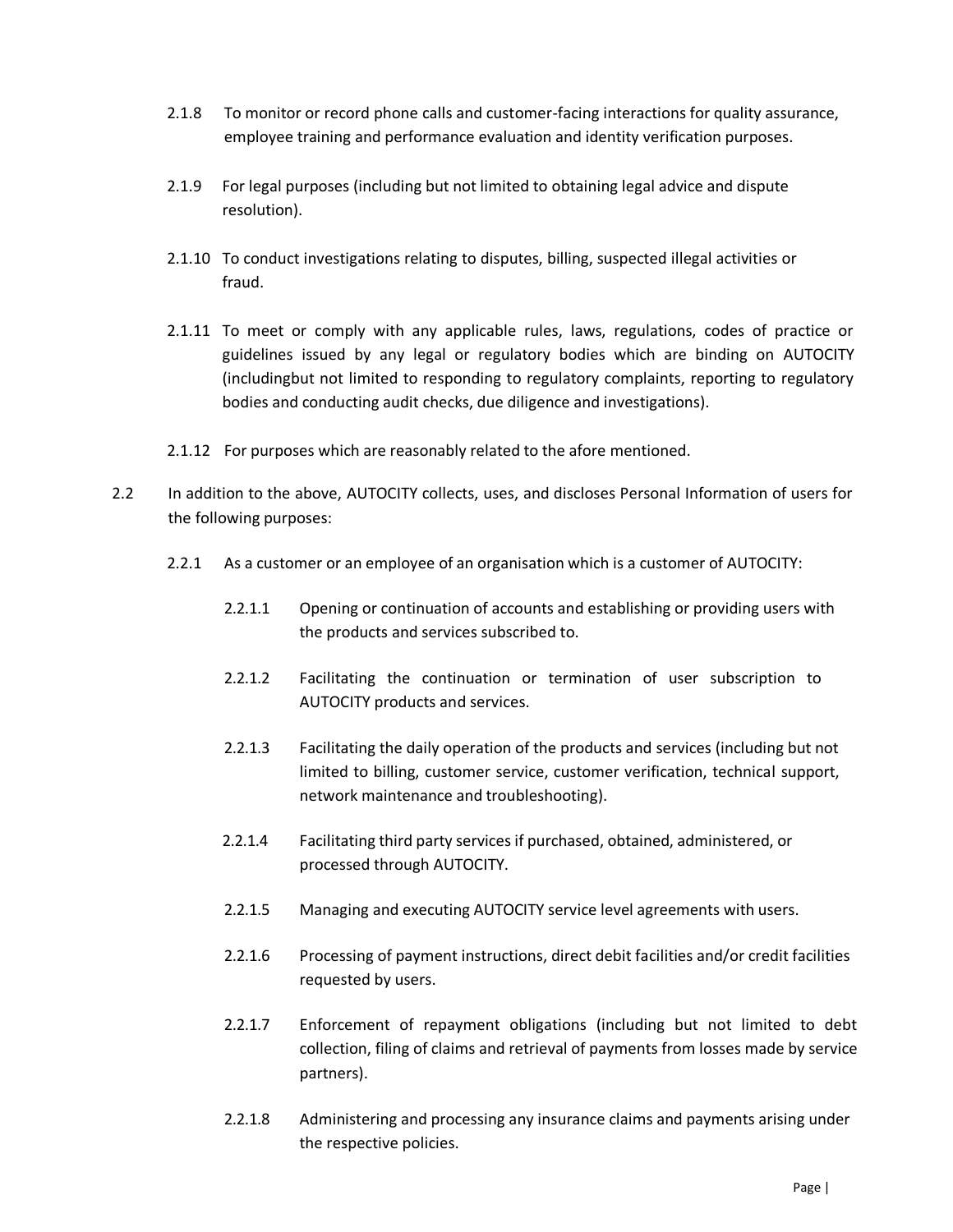- 2.1.8 To monitor or record phone calls and customer-facing interactions for quality assurance, employee training and performance evaluation and identity verification purposes.
- 2.1.9 For legal purposes (including but not limited to obtaining legal advice and dispute resolution).
- 2.1.10 To conduct investigations relating to disputes, billing, suspected illegal activities or fraud.
- 2.1.11 To meet or comply with any applicable rules, laws, regulations, codes of practice or guidelines issued by any legal or regulatory bodies which are binding on AUTOCITY (includingbut not limited to responding to regulatory complaints, reporting to regulatory bodies and conducting audit checks, due diligence and investigations).
- 2.1.12 For purposes which are reasonably related to the afore mentioned.
- 2.2 In addition to the above, AUTOCITY collects, uses, and discloses Personal Information of users for the following purposes:
	- 2.2.1 As a customer or an employee of an organisation which is a customer of AUTOCITY:
		- 2.2.1.1 Opening or continuation of accounts and establishing or providing users with the products and services subscribed to.
		- 2.2.1.2 Facilitating the continuation or termination of user subscription to AUTOCITY products and services.
		- 2.2.1.3 Facilitating the daily operation of the products and services (including but not limited to billing, customer service, customer verification, technical support, network maintenance and troubleshooting).
		- 2.2.1.4 Facilitating third party services if purchased, obtained, administered, or processed through AUTOCITY.
		- 2.2.1.5 Managing and executing AUTOCITY service level agreements with users.
		- 2.2.1.6 Processing of payment instructions, direct debit facilities and/or credit facilities requested by users.
		- 2.2.1.7 Enforcement of repayment obligations (including but not limited to debt collection, filing of claims and retrieval of payments from losses made by service partners).
		- 2.2.1.8 Administering and processing any insurance claims and payments arising under the respective policies.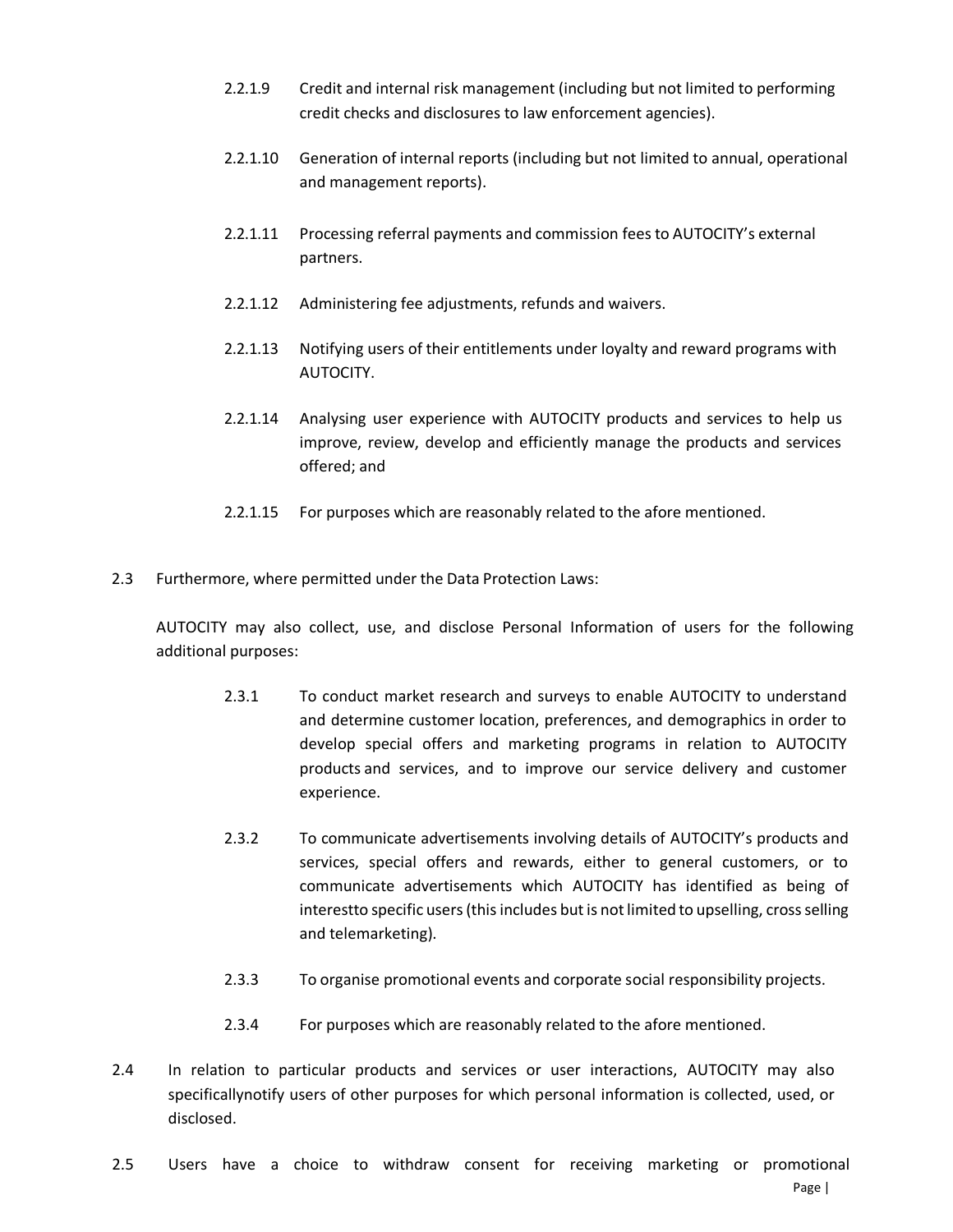- 2.2.1.9 Credit and internal risk management (including but not limited to performing credit checks and disclosures to law enforcement agencies).
- 2.2.1.10 Generation of internal reports (including but not limited to annual, operational and management reports).
- 2.2.1.11 Processing referral payments and commission fees to AUTOCITY's external partners.
- 2.2.1.12 Administering fee adjustments, refunds and waivers.
- 2.2.1.13 Notifying users of their entitlements under loyalty and reward programs with AUTOCITY.
- 2.2.1.14 Analysing user experience with AUTOCITY products and services to help us improve, review, develop and efficiently manage the products and services offered; and
- 2.2.1.15 For purposes which are reasonably related to the afore mentioned.
- 2.3 Furthermore, where permitted under the Data Protection Laws:

AUTOCITY may also collect, use, and disclose Personal Information of users for the following additional purposes:

- 2.3.1 To conduct market research and surveys to enable AUTOCITY to understand and determine customer location, preferences, and demographics in order to develop special offers and marketing programs in relation to AUTOCITY products and services, and to improve our service delivery and customer experience.
- 2.3.2 To communicate advertisements involving details of AUTOCITY's products and services, special offers and rewards, either to general customers, or to communicate advertisements which AUTOCITY has identified as being of interestto specific users (this includes but is not limited to upselling, cross selling and telemarketing).
- 2.3.3 To organise promotional events and corporate social responsibility projects.
- 2.3.4 For purposes which are reasonably related to the afore mentioned.
- 2.4 In relation to particular products and services or user interactions, AUTOCITY may also specificallynotify users of other purposes for which personal information is collected, used, or disclosed.
- 2.5 Users have a choice to withdraw consent for receiving marketing or promotional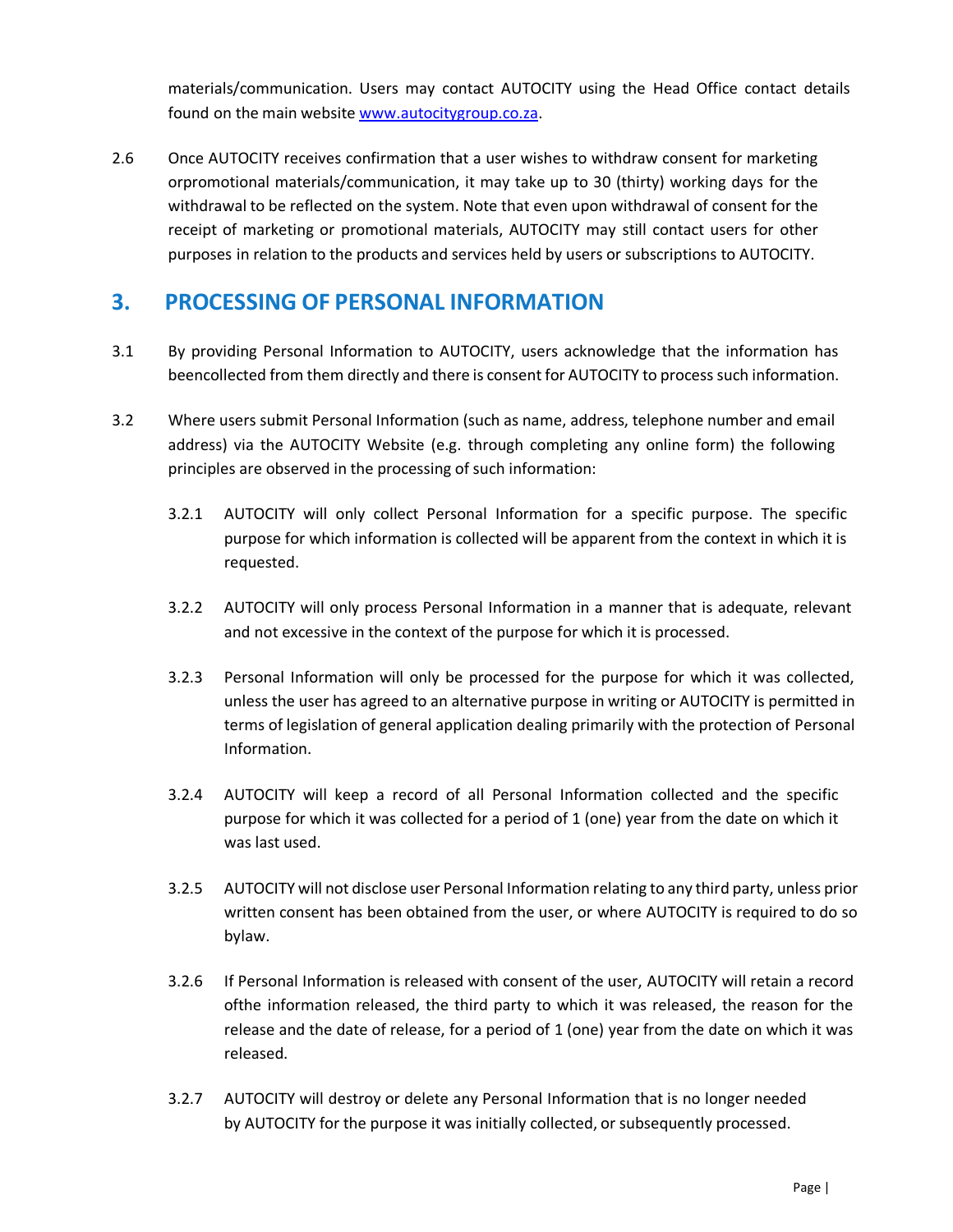materials/communication. Users may contact AUTOCITY using the Head Office contact details found on the main website [www.autocitygroup.co.za.](http://www.autocitygroup.co.za/)

2.6 Once AUTOCITY receives confirmation that a user wishes to withdraw consent for marketing orpromotional materials/communication, it may take up to 30 (thirty) working days for the withdrawal to be reflected on the system. Note that even upon withdrawal of consent for the receipt of marketing or promotional materials, AUTOCITY may still contact users for other purposes in relation to the products and services held by users or subscriptions to AUTOCITY.

#### <span id="page-5-0"></span>**3. PROCESSING OF PERSONAL INFORMATION**

- 3.1 By providing Personal Information to AUTOCITY, users acknowledge that the information has beencollected from them directly and there is consent for AUTOCITY to process such information.
- 3.2 Where users submit Personal Information (such as name, address, telephone number and email address) via the AUTOCITY Website (e.g. through completing any online form) the following principles are observed in the processing of such information:
	- 3.2.1 AUTOCITY will only collect Personal Information for a specific purpose. The specific purpose for which information is collected will be apparent from the context in which it is requested.
	- 3.2.2 AUTOCITY will only process Personal Information in a manner that is adequate, relevant and not excessive in the context of the purpose for which it is processed.
	- 3.2.3 Personal Information will only be processed for the purpose for which it was collected, unless the user has agreed to an alternative purpose in writing or AUTOCITY is permitted in terms of legislation of general application dealing primarily with the protection of Personal Information.
	- 3.2.4 AUTOCITY will keep a record of all Personal Information collected and the specific purpose for which it was collected for a period of 1 (one) year from the date on which it was last used.
	- 3.2.5 AUTOCITY will not disclose user Personal Information relating to any third party, unless prior written consent has been obtained from the user, or where AUTOCITY is required to do so bylaw.
	- 3.2.6 If Personal Information is released with consent of the user, AUTOCITY will retain a record ofthe information released, the third party to which it was released, the reason for the release and the date of release, for a period of 1 (one) year from the date on which it was released.
	- 3.2.7 AUTOCITY will destroy or delete any Personal Information that is no longer needed by AUTOCITY for the purpose it was initially collected, or subsequently processed.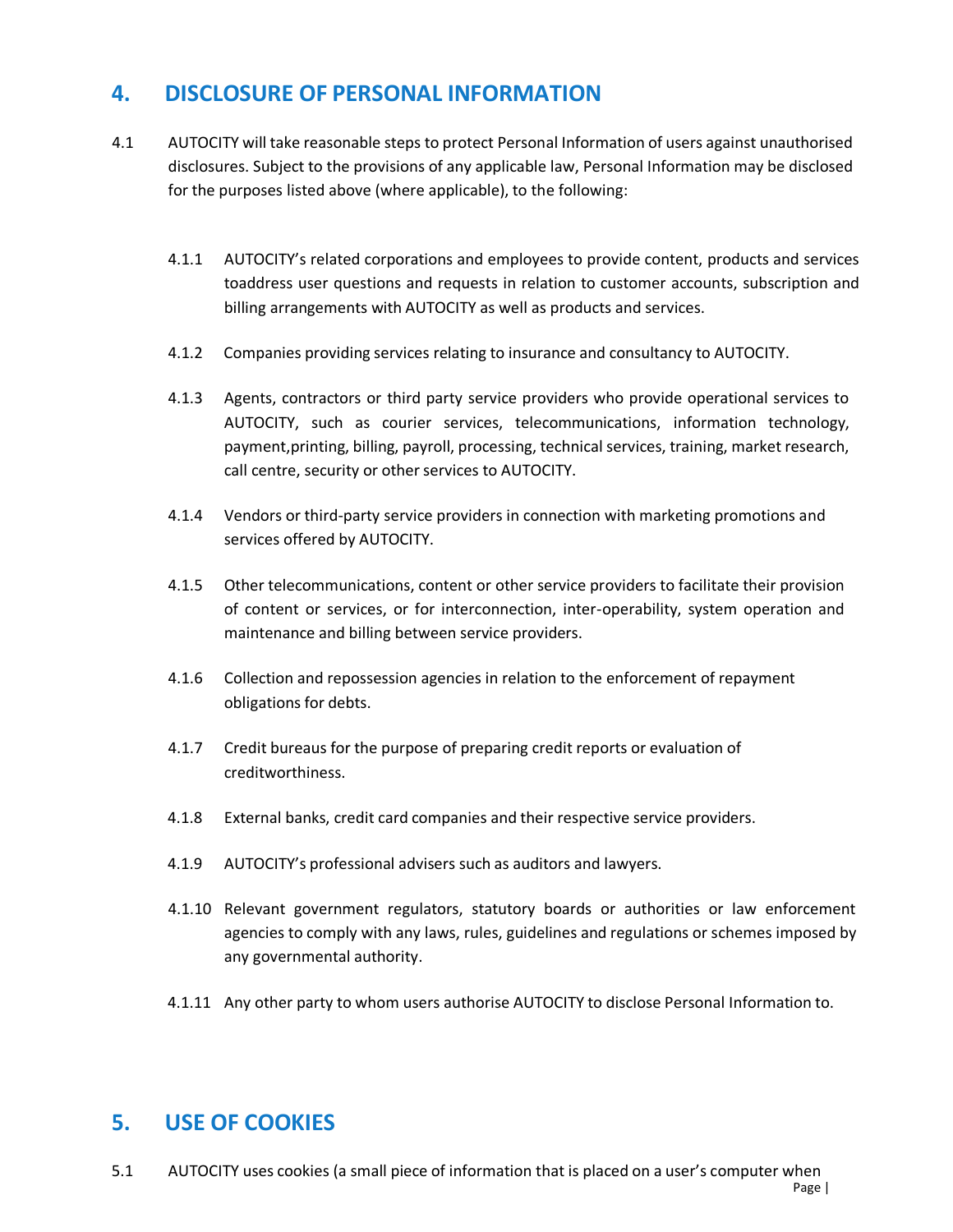#### <span id="page-6-0"></span>**4. DISCLOSURE OF PERSONAL INFORMATION**

- 4.1 AUTOCITY will take reasonable steps to protect Personal Information of users against unauthorised disclosures. Subject to the provisions of any applicable law, Personal Information may be disclosed for the purposes listed above (where applicable), to the following:
	- 4.1.1 AUTOCITY's related corporations and employees to provide content, products and services toaddress user questions and requests in relation to customer accounts, subscription and billing arrangements with AUTOCITY as well as products and services.
	- 4.1.2 Companies providing services relating to insurance and consultancy to AUTOCITY.
	- 4.1.3 Agents, contractors or third party service providers who provide operational services to AUTOCITY, such as courier services, telecommunications, information technology, payment,printing, billing, payroll, processing, technical services, training, market research, call centre, security or other services to AUTOCITY.
	- 4.1.4 Vendors or third-party service providers in connection with marketing promotions and services offered by AUTOCITY.
	- 4.1.5 Other telecommunications, content or other service providers to facilitate their provision of content or services, or for interconnection, inter-operability, system operation and maintenance and billing between service providers.
	- 4.1.6 Collection and repossession agencies in relation to the enforcement of repayment obligations for debts.
	- 4.1.7 Credit bureaus for the purpose of preparing credit reports or evaluation of creditworthiness.
	- 4.1.8 External banks, credit card companies and their respective service providers.
	- 4.1.9 AUTOCITY's professional advisers such as auditors and lawyers.
	- 4.1.10 Relevant government regulators, statutory boards or authorities or law enforcement agencies to comply with any laws, rules, guidelines and regulations or schemes imposed by any governmental authority.
	- 4.1.11 Any other party to whom users authorise AUTOCITY to disclose Personal Information to.

#### <span id="page-6-1"></span>**5. USE OF COOKIES**

5.1 AUTOCITY uses cookies (a small piece of information that is placed on a user's computer when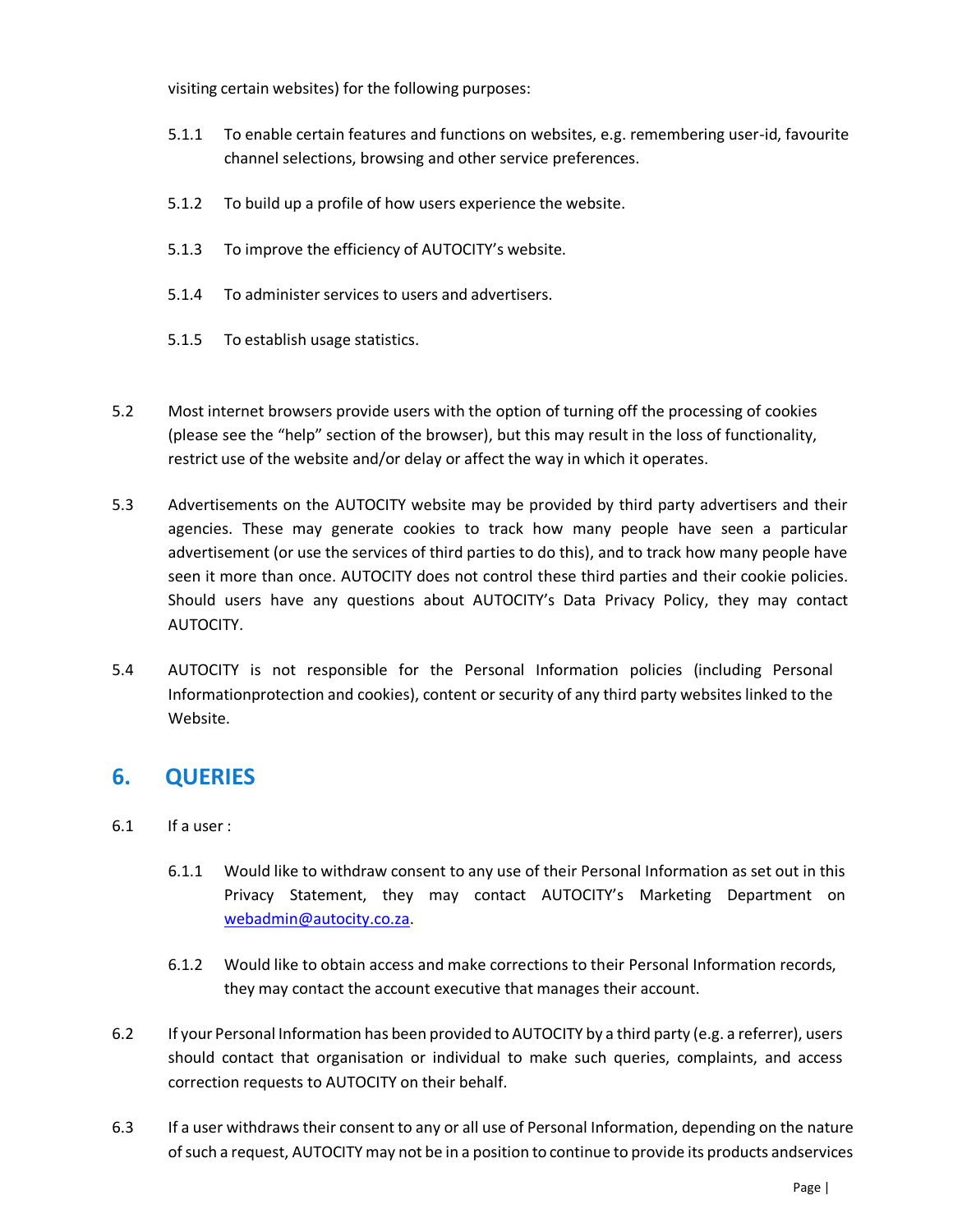visiting certain websites) for the following purposes:

- 5.1.1 To enable certain features and functions on websites, e.g. remembering user-id, favourite channel selections, browsing and other service preferences.
- 5.1.2 To build up a profile of how users experience the website.
- 5.1.3 To improve the efficiency of AUTOCITY's website.
- 5.1.4 To administer services to users and advertisers.
- 5.1.5 To establish usage statistics.
- 5.2 Most internet browsers provide users with the option of turning off the processing of cookies (please see the "help" section of the browser), but this may result in the loss of functionality, restrict use of the website and/or delay or affect the way in which it operates.
- 5.3 Advertisements on the AUTOCITY website may be provided by third party advertisers and their agencies. These may generate cookies to track how many people have seen a particular advertisement (or use the services of third parties to do this), and to track how many people have seen it more than once. AUTOCITY does not control these third parties and their cookie policies. Should users have any questions about AUTOCITY's Data Privacy Policy, they may contact AUTOCITY.
- 5.4 AUTOCITY is not responsible for the Personal Information policies (including Personal Informationprotection and cookies), content or security of any third party websites linked to the Website.

## <span id="page-7-0"></span>**6. QUERIES**

- 6.1 If a user :
	- 6.1.1 Would like to withdraw consent to any use of their Personal Information as set out in this Privacy Statement, they may contact AUTOCITY's Marketing Department on [webadmin@autocity.co.za.](mailto:webadmin@autocity.co.za)
	- 6.1.2 Would like to obtain access and make corrections to their Personal Information records, they may contact the account executive that manages their account.
- 6.2 If your Personal Information has been provided to AUTOCITY by a third party (e.g. a referrer), users should contact that organisation or individual to make such queries, complaints, and access correction requests to AUTOCITY on their behalf.
- 6.3 If a user withdraws their consent to any or all use of Personal Information, depending on the nature of such a request, AUTOCITY may not be in a position to continue to provide its products andservices